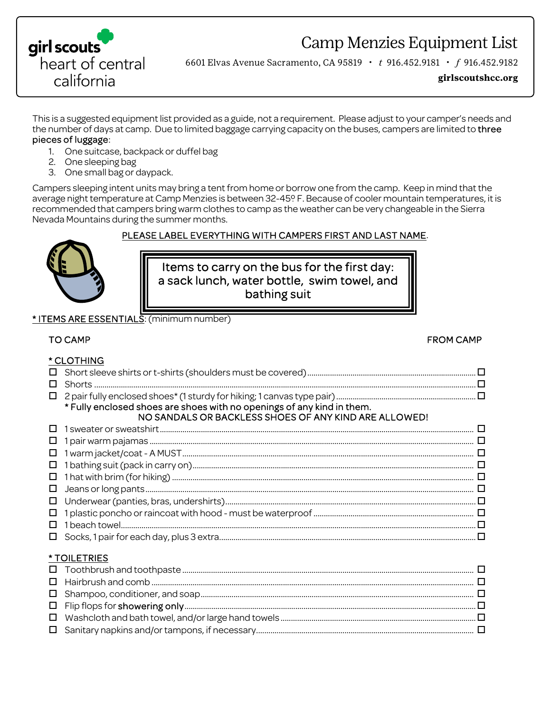

Camp Menzies Equipment List

6601 Elvas Avenue Sacramento, CA 95819 • *t* 916.452.9181 • *f* 916.452.9182

**girlscoutshcc.org**

This is a suggested equipment list provided as a guide, not a requirement. Please adjust to your camper's needs and the number of days at camp. Due to limited baggage carrying capacity on the buses, campers are limited to three pieces of luggage:

- 1. One suitcase, backpack or duffel bag
- 2. One sleeping bag
- 3. One small bag or daypack.

Campers sleeping intent units may bring a tent from home or borrow one from the camp. Keep in mind that the average night temperature at Camp Menzies is between 32-45º F. Because of cooler mountain temperatures, it is recommended that campers bring warm clothes to camp as the weather can be very changeable in the Sierra Nevada Mountains during the summer months.

### PLEASE LABEL EVERYTHING WITH CAMPERS FIRST AND LAST NAME.



Items to carry on the bus for the first day: a sack lunch, water bottle, swim towel, and bathing suit

#### \* ITEMS ARE ESSENTIALS: (minimum number)

#### TO CAMP FROM CAMP AND TO CAMP AND TO CAMP. THE SECOND CAMP AND TO CAMP AND TO CAMP.

 $*$  CLOTHING

|                    | <b>CLUTHING</b>                                                                                                                                                                                                                                                                                                                                                                                                                          |  |  |  |
|--------------------|------------------------------------------------------------------------------------------------------------------------------------------------------------------------------------------------------------------------------------------------------------------------------------------------------------------------------------------------------------------------------------------------------------------------------------------|--|--|--|
| П                  |                                                                                                                                                                                                                                                                                                                                                                                                                                          |  |  |  |
| П                  | $\textsf{Shorts}\textup{ \texttt{}}\textup{ \texttt{}}\textup{ \texttt{}}\textup{ \texttt{}}\textup{ \texttt{}}\textup{ \texttt{}}\textup{ \texttt{}}\textup{ \texttt{}}\textup{ \texttt{}}\textup{ \texttt{}}\textup{ \texttt{}}\textup{ \texttt{}}\textup{ \texttt{}}\textup{ \texttt{}}\textup{ \texttt{}}\textup{ \texttt{}}\textup{ \texttt{}}\textup{ \texttt{}}\textup{ \texttt{}}\textup{ \texttt{}}\textup{ \texttt{}}\textup{$ |  |  |  |
| □                  |                                                                                                                                                                                                                                                                                                                                                                                                                                          |  |  |  |
|                    | * Fully enclosed shoes are shoes with no openings of any kind in them.                                                                                                                                                                                                                                                                                                                                                                   |  |  |  |
|                    | NO SANDALS OR BACKLESS SHOES OF ANY KIND ARE ALLOWED!                                                                                                                                                                                                                                                                                                                                                                                    |  |  |  |
|                    |                                                                                                                                                                                                                                                                                                                                                                                                                                          |  |  |  |
|                    |                                                                                                                                                                                                                                                                                                                                                                                                                                          |  |  |  |
| □                  |                                                                                                                                                                                                                                                                                                                                                                                                                                          |  |  |  |
| □                  |                                                                                                                                                                                                                                                                                                                                                                                                                                          |  |  |  |
| □                  |                                                                                                                                                                                                                                                                                                                                                                                                                                          |  |  |  |
| $\Box$             |                                                                                                                                                                                                                                                                                                                                                                                                                                          |  |  |  |
| □                  |                                                                                                                                                                                                                                                                                                                                                                                                                                          |  |  |  |
|                    |                                                                                                                                                                                                                                                                                                                                                                                                                                          |  |  |  |
|                    |                                                                                                                                                                                                                                                                                                                                                                                                                                          |  |  |  |
|                    |                                                                                                                                                                                                                                                                                                                                                                                                                                          |  |  |  |
| <b>*TOILETRIES</b> |                                                                                                                                                                                                                                                                                                                                                                                                                                          |  |  |  |
|                    |                                                                                                                                                                                                                                                                                                                                                                                                                                          |  |  |  |
|                    |                                                                                                                                                                                                                                                                                                                                                                                                                                          |  |  |  |
| □                  |                                                                                                                                                                                                                                                                                                                                                                                                                                          |  |  |  |
| □                  |                                                                                                                                                                                                                                                                                                                                                                                                                                          |  |  |  |
| 0                  |                                                                                                                                                                                                                                                                                                                                                                                                                                          |  |  |  |

 Washcloth and bath towel, and/or large hand towels ............................................................................................... Sanitary napkins and/or tampons, if necessary ..........................................................................................................